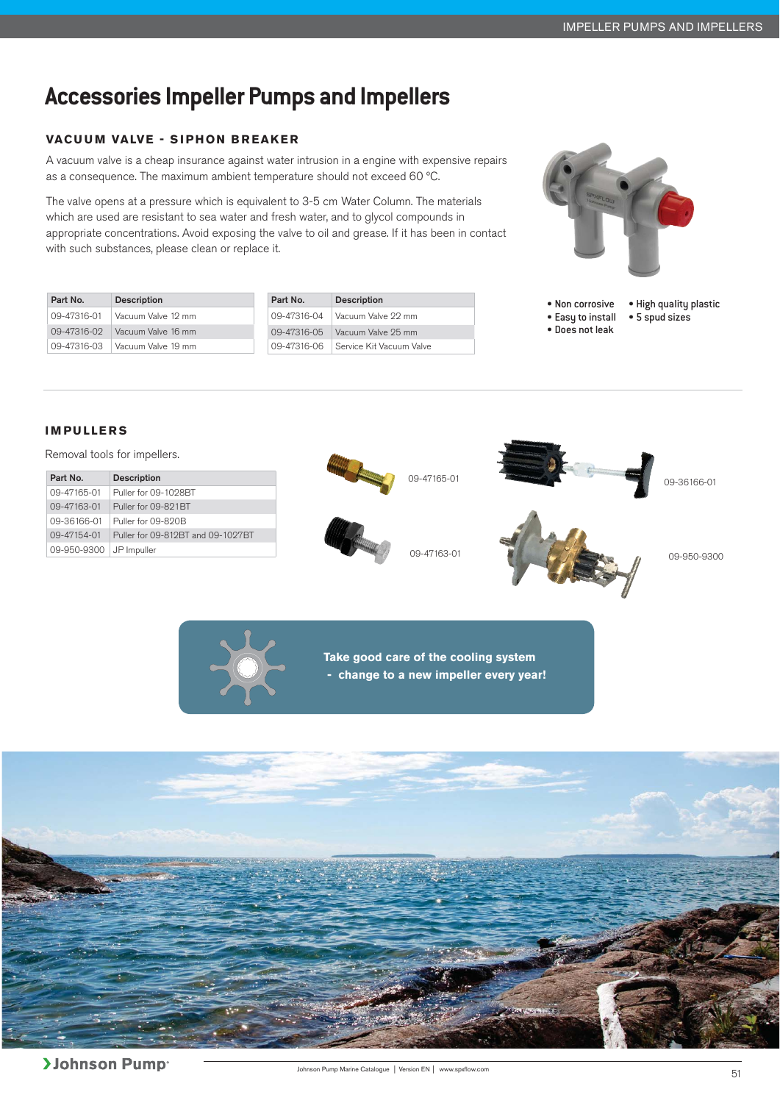# **Accessories Impeller Pumps and Impellers**

### **VACUUM VALVE - SIPHON BREAKER**

A vacuum valve is a cheap insurance against water intrusion in a engine with expensive repairs as a consequence. The maximum ambient temperature should not exceed 60 ºC.

The valve opens at a pressure which is equivalent to 3-5 cm Water Column. The materials which are used are resistant to sea water and fresh water, and to glycol compounds in appropriate concentrations. Avoid exposing the valve to oil and grease. If it has been in contact with such substances, please clean or replace it.



| Part No.    | <b>Description</b> | Part No.    | <b>Description</b>                      |                                  | • Non corrosive • High quality plastic |
|-------------|--------------------|-------------|-----------------------------------------|----------------------------------|----------------------------------------|
| 09-47316-01 | Vacuum Valve 12 mm | 09-47316-04 | Vacuum Valve 22 mm                      | ● Easy to install ● 5 spud sizes |                                        |
| 09-47316-02 | Vacuum Valve 16 mm | 09-47316-05 | Vacuum Valve 25 mm                      | • Does not leak                  |                                        |
| 09-47316-03 | Vacuum Valve 19 mm |             | ∣ 09-47316-06 ∣Service Kit Vacuum Valve |                                  |                                        |

#### **IMPULLERS**

Removal tools for impellers.

| Part No.    | <b>Description</b>                |
|-------------|-----------------------------------|
| 09-47165-01 | Puller for 09-1028BT              |
| 09-47163-01 | Puller for 09-891BT               |
| 09-36166-01 | Puller for 09-820B                |
| 09-47154-01 | Puller for 09-812BT and 09-1027BT |
| 09-950-9300 | JP Impuller                       |







**Take good care of the cooling system** 

 **- change to a new impeller every year!** 

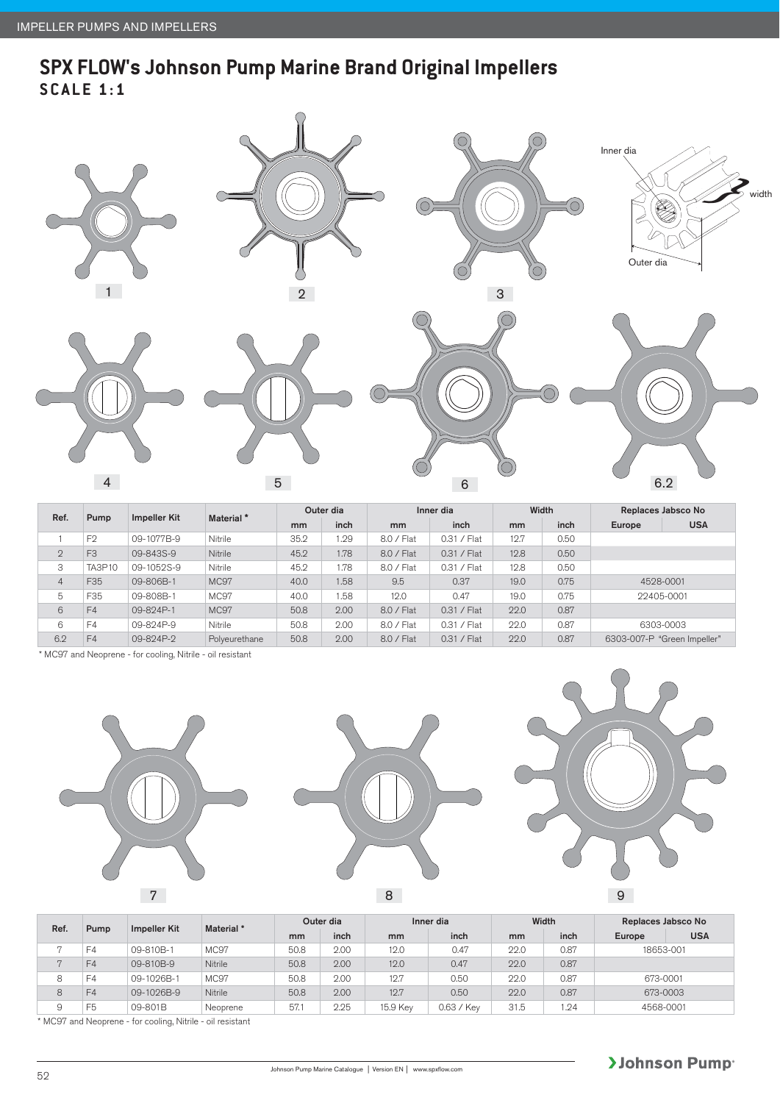### **SPX FLOW's Johnson Pump Marine Brand Original Impellers SCALE 1:1**



|                |                |                     |                       | Outer dia |      |            | Inner dia     | Width |      | Replaces Jabsco No          |            |
|----------------|----------------|---------------------|-----------------------|-----------|------|------------|---------------|-------|------|-----------------------------|------------|
| Ref.           | Pump           | <b>Impeller Kit</b> | Material <sup>*</sup> | mm        | inch | mm         | inch          | mm    | inch | Europe                      | <b>USA</b> |
|                | F <sub>2</sub> | 09-1077B-9          | Nitrile               | 35.2      | 1.29 | 8.0 / Flat | $0.31 /$ Flat | 12.7  | 0.50 |                             |            |
| $\overline{2}$ | F <sub>3</sub> | 09-843S-9           | Nitrile               | 45.2      | 1.78 | 8.0 / Flat | $0.31 /$ Flat | 12.8  | 0.50 |                             |            |
| 3              | <b>TA3P10</b>  | 09-1052S-9          | Nitrile               | 45.2      | 1.78 | 8.0 / Flat | $0.31 /$ Flat | 12.8  | 0.50 |                             |            |
| $\overline{4}$ | F35            | 09-806B-1           | MC97                  | 40.0      | 1.58 | 9.5        | 0.37          | 19.0  | 0.75 | 4528-0001                   |            |
| 5              | F35            | 09-808B-1           | MC97                  | 40.0      | 1.58 | 12.0       | 0.47          | 19.0  | 0.75 | 22405-0001                  |            |
| 6              | F4             | 09-824P-1           | MC97                  | 50.8      | 2.00 | 8.0 / Flat | $0.31 /$ Flat | 22.0  | 0.87 |                             |            |
| 6              | F4             | 09-824P-9           | Nitrile               | 50.8      | 2.00 | 8.0 / Flat | $0.31 /$ Flat | 22.0  | 0.87 | 6303-0003                   |            |
| 6.2            | F4             | 09-824P-2           | Polyeurethane         | 50.8      | 2.00 | 8.0 / Flat | $0.31 /$ Flat | 22.0  | 0.87 | 6303-007-P "Green Impeller" |            |

\* MC97 and Neoprene - for cooling, Nitrile - oil resistant



| Ref.           | Pump | <b>Impeller Kit</b> | Material * | Outer dia |      | Inner dia |            | Width |      | Replaces Jabsco No |            |
|----------------|------|---------------------|------------|-----------|------|-----------|------------|-------|------|--------------------|------------|
|                |      |                     |            | mm        | inch | mm        | inch       | mm    | inch | Europe             | <b>USA</b> |
| ю              | F4   | 09-810B-1           | MC97       | 50.8      | 2.00 | 12.0      | 0.47       | 22.0  | 0.87 | 18653-001          |            |
| $\overline{a}$ | F4   | 09-810B-9           | Nitrile    | 50.8      | 2.00 | 12.0      | 0.47       | 22.0  | 0.87 |                    |            |
| 8              | F4   | 09-1026B-1          | MC97       | 50.8      | 2.00 | 12.7      | 0.50       | 22.0  | 0.87 | 673-0001           |            |
| 8              | F4   | 09-1026B-9          | Nitrile    | 50.8      | 2.00 | 12.7      | 0.50       | 22.0  | 0.87 | 673-0003           |            |
| 9              | F5   | 09-801B             | Neoprene   | 57.1      | 2.25 | 15.9 Kev  | 0.63 / Kev | 31.5  | .24  | 4568-0001          |            |

\* MC97 and Neoprene - for cooling, Nitrile - oil resistant

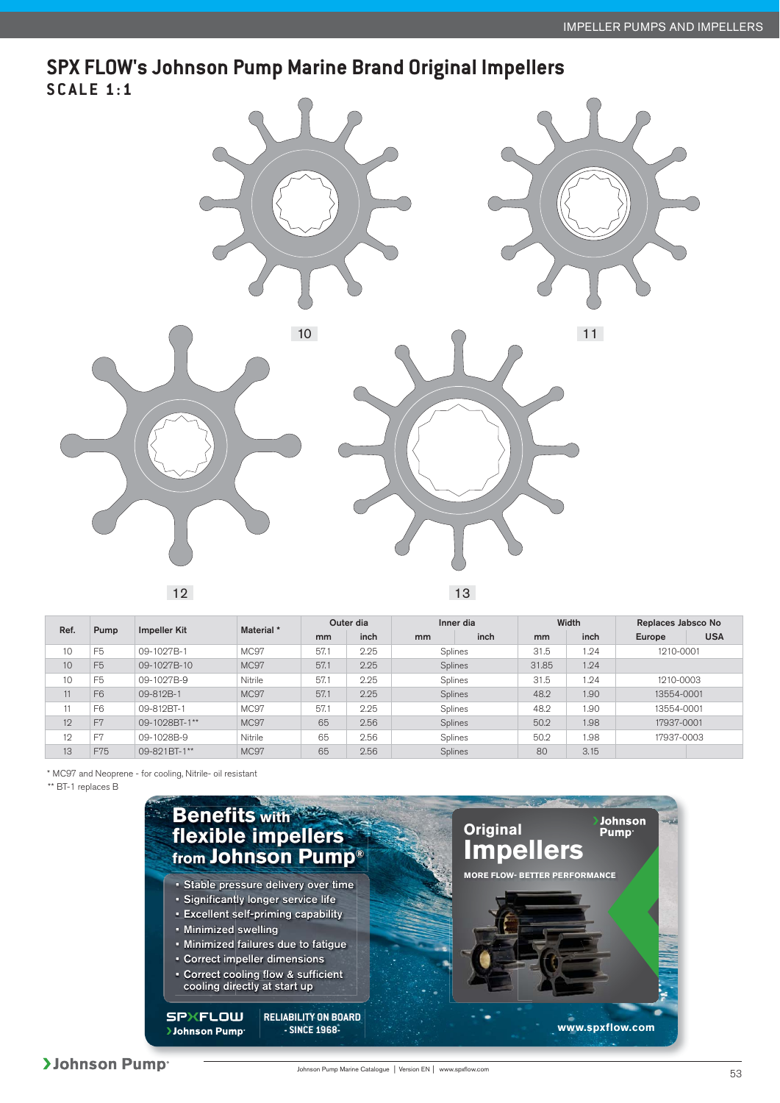### **SPX FLOW's Johnson Pump Marine Brand Original Impellers SCALE 1:1**



12 13

| Ref. | Pump           |                     | Material *  | Outer dia |      | Inner dia     |      |       | Width      | Replaces Jabsco No |            |
|------|----------------|---------------------|-------------|-----------|------|---------------|------|-------|------------|--------------------|------------|
|      |                | <b>Impeller Kit</b> |             | mm        | inch | <sub>mm</sub> | inch | mm    | inch       | Europe             | <b>USA</b> |
| 10   | F <sub>5</sub> | 09-1027B-1          | MC97        | 57.       | 2.25 | Splines       |      | 31.5  | 1.24       | 1210-0001          |            |
| 10   | F <sub>5</sub> | 09-1027B-10         | <b>MC97</b> | 57.1      | 2.25 | Splines       |      | 31.85 | 1.24       |                    |            |
| 10   | F <sub>5</sub> | 09-1027B-9          | Nitrile     | 57.       | 2.25 | Splines       |      | 31.5  | 1.24       | 1210-0003          |            |
| 11   | F <sub>6</sub> | 09-812B-1           | MC97        | 57.1      | 2.25 | Splines       |      | 48.2  | 1.90       | 13554-0001         |            |
| 11   | F <sub>6</sub> | 09-812BT-1          | MC97        | 57.1      | 2.25 | Splines       |      | 48.2  | <b>90.</b> | 13554-0001         |            |
| 12   | F <sub>7</sub> | 09-1028BT-1**       | MC97        | 65        | 2.56 | Splines       |      | 50.2  | 1.98       | 17937-0001         |            |
| 12   | F <sub>7</sub> | 09-1028B-9          | Nitrile     | 65        | 2.56 | Splines       |      | 50.2  | 1.98       | 17937-0003         |            |
| 13   | F75            | 09-821BT-1**        | MC97        | 65        | 2.56 | Splines       |      | 80    | 3.15       |                    |            |

\* MC97 and Neoprene - for cooling, Nitrile- oil resistant

\*\* BT-1 replaces B

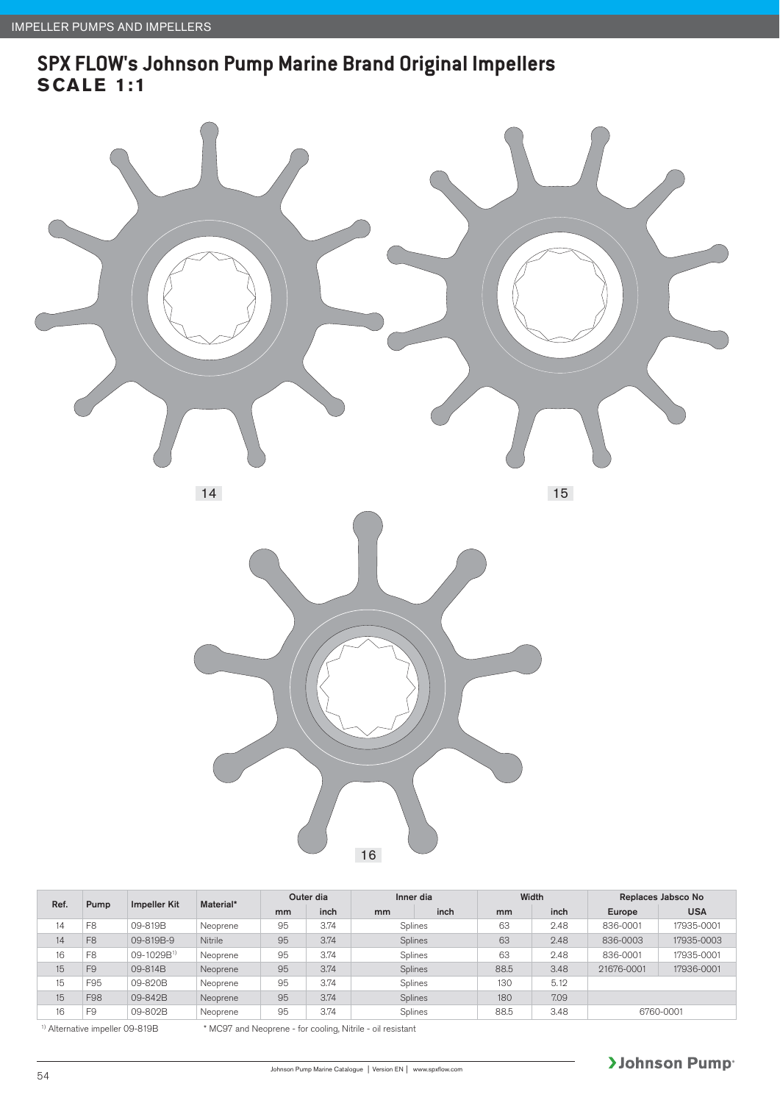### **SPX FLOW's Johnson Pump Marine Brand Original Impellers SCALE 1:1**



14



| Ref. | Pump           |                        | Material* | Outer dia |      | Inner dia |         | Width          |      | Replaces Jabsco No |            |
|------|----------------|------------------------|-----------|-----------|------|-----------|---------|----------------|------|--------------------|------------|
|      |                | <b>Impeller Kit</b>    |           | mm        | inch | mm        | inch    | m <sub>m</sub> | inch | Europe             | <b>USA</b> |
| 14   | F <sub>8</sub> | 09-819B                | Neoprene  | 95        | 3.74 | Splines   |         | 63             | 2.48 | 836-0001           | 17935-0001 |
| 14   | F <sub>8</sub> | 09-819B-9              | Nitrile   | 95        | 3.74 | Splines   |         | 63             | 2.48 | 836-0003           | 17935-0003 |
| 16   | F <sub>8</sub> | 09-1029B <sup>1)</sup> | Neoprene  | 95        | 3.74 |           | Splines |                | 2.48 | 836-0001           | 17935-0001 |
| 15   | F <sub>9</sub> | 09-814B                | Neoprene  | 95        | 3.74 |           | Splines | 88.5           | 3.48 | 21676-0001         | 17936-0001 |
| 15   | F95            | 09-820B                | Neoprene  | 95        | 3.74 | Splines   |         | 130            | 5.12 |                    |            |
| 15   | F98            | 09-842B                | Neoprene  | 95        | 3.74 | Splines   |         | 180            | 7.09 |                    |            |
| 16   | F <sub>9</sub> | 09-802B                | Neoprene  | 95        | 3.74 | Splines   |         | 88.5           | 3.48 |                    | 6760-0001  |

<sup>1)</sup> Alternative impeller 09-819B \* MC97 and Neoprene - for cooling, Nitrile - oil resistant